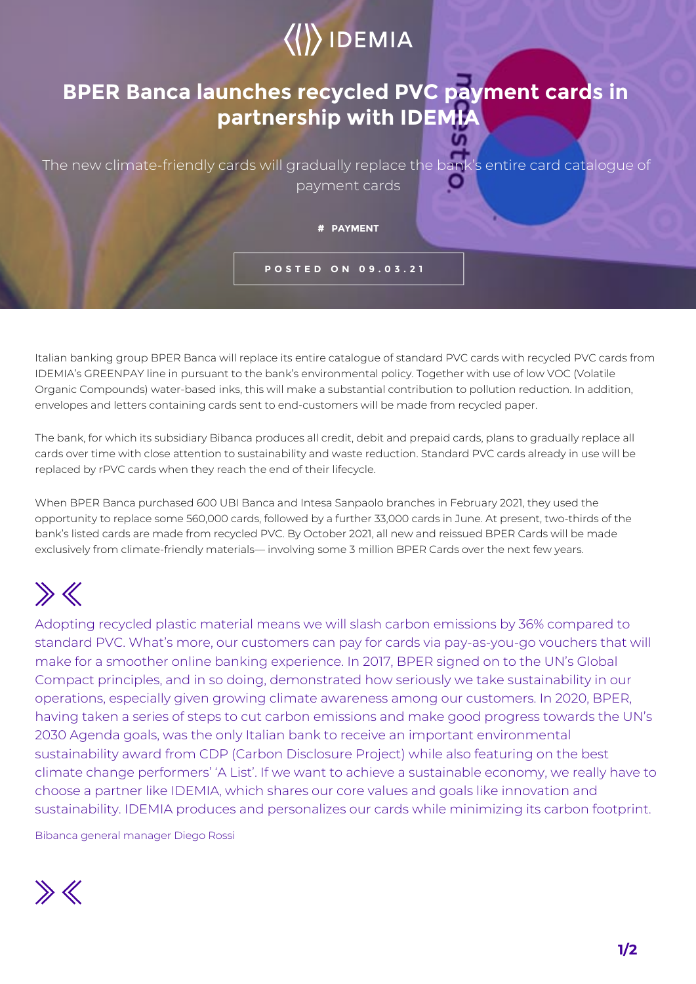## $\langle\langle\rangle\rangle$  IDEMIA

## **BPER Banca launches recycled PVC payment cards in partnership with IDEMIA**

The new climate-friendly cards will gradually replace the bank's entire card catalogue of payment cards

**# PAYMENT**

**POSTED ON 09.03.21**

Italian banking group BPER Banca will replace its entire catalogue of standard PVC cards with recycled PVC cards from IDEMIA's GREENPAY line in pursuant to the bank's environmental policy. Together with use of low VOC (Volatile Organic Compounds) water-based inks, this will make a substantial contribution to pollution reduction. In addition, envelopes and letters containing cards sent to end-customers will be made from recycled paper.

The bank, for which its subsidiary Bibanca produces all credit, debit and prepaid cards, plans to gradually replace all cards over time with close attention to sustainability and waste reduction. Standard PVC cards already in use will be replaced by rPVC cards when they reach the end of their lifecycle.

When BPER Banca purchased 600 UBI Banca and Intesa Sanpaolo branches in February 2021, they used the opportunity to replace some 560,000 cards, followed by a further 33,000 cards in June. At present, two-thirds of the bank's listed cards are made from recycled PVC. By October 2021, all new and reissued BPER Cards will be made exclusively from climate-friendly materials— involving some 3 million BPER Cards over the next few years.

## $\gg K$

Adopting recycled plastic material means we will slash carbon emissions by 36% compared to standard PVC. What's more, our customers can pay for cards via pay-as-you-go vouchers that will make for a smoother online banking experience. In 2017, BPER signed on to the UN's Global Compact principles, and in so doing, demonstrated how seriously we take sustainability in our operations, especially given growing climate awareness among our customers. In 2020, BPER, having taken a series of steps to cut carbon emissions and make good progress towards the UN's 2030 Agenda goals, was the only Italian bank to receive an important environmental sustainability award from CDP (Carbon Disclosure Project) while also featuring on the best climate change performers' 'A List'. If we want to achieve a sustainable economy, we really have to choose a partner like IDEMIA, which shares our core values and goals like innovation and sustainability. IDEMIA produces and personalizes our cards while minimizing its carbon footprint.

Bibanca general manager Diego Rossi